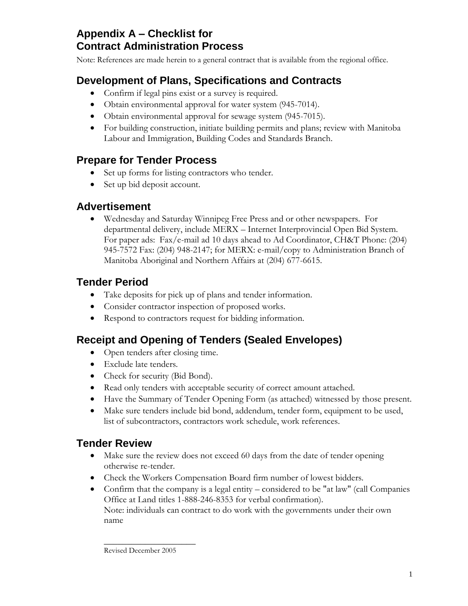## **Appendix A – Checklist for Contract Administration Process**

Note: References are made herein to a general contract that is available from the regional office.

# **Development of Plans, Specifications and Contracts**

- Confirm if legal pins exist or a survey is required.
- Obtain environmental approval for water system (945-7014).
- Obtain environmental approval for sewage system (945-7015).
- For building construction, initiate building permits and plans; review with Manitoba Labour and Immigration, Building Codes and Standards Branch.

# **Prepare for Tender Process**

- Set up forms for listing contractors who tender.
- Set up bid deposit account.

#### **Advertisement**

 Wednesday and Saturday Winnipeg Free Press and or other newspapers. For departmental delivery, include MERX – Internet Interprovincial Open Bid System. For paper ads: Fax/e-mail ad 10 days ahead to Ad Coordinator, CH&T Phone: (204) 945-7572 Fax: (204) 948-2147; for MERX: e-mail/copy to Administration Branch of Manitoba Aboriginal and Northern Affairs at (204) 677-6615.

# **Tender Period**

- Take deposits for pick up of plans and tender information.
- Consider contractor inspection of proposed works.
- Respond to contractors request for bidding information.

## **Receipt and Opening of Tenders (Sealed Envelopes)**

- Open tenders after closing time.
- Exclude late tenders.
- Check for security (Bid Bond).
- Read only tenders with acceptable security of correct amount attached.
- Have the Summary of Tender Opening Form (as attached) witnessed by those present.
- Make sure tenders include bid bond, addendum, tender form, equipment to be used, list of subcontractors, contractors work schedule, work references.

## **Tender Review**

- Make sure the review does not exceed 60 days from the date of tender opening otherwise re-tender.
- Check the Workers Compensation Board firm number of lowest bidders.
- Confirm that the company is a legal entity considered to be "at law" (call Companies Office at Land titles 1-888-246-8353 for verbal confirmation). Note: individuals can contract to do work with the governments under their own name

 $\overline{\phantom{a}}$  , where  $\overline{\phantom{a}}$ Revised December 2005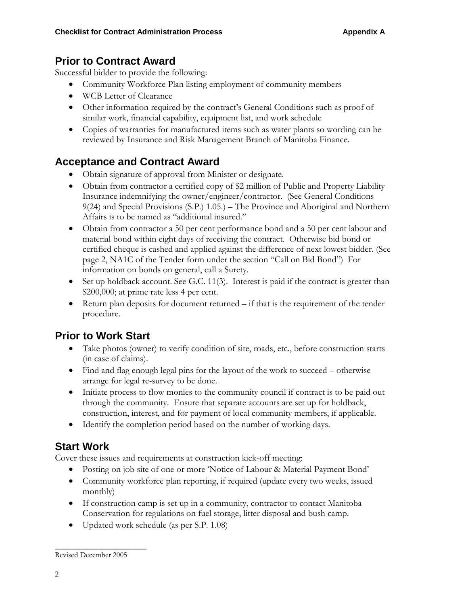#### **Prior to Contract Award**

Successful bidder to provide the following:

- Community Workforce Plan listing employment of community members
- WCB Letter of Clearance
- Other information required by the contract's General Conditions such as proof of similar work, financial capability, equipment list, and work schedule
- Copies of warranties for manufactured items such as water plants so wording can be reviewed by Insurance and Risk Management Branch of Manitoba Finance.

# **Acceptance and Contract Award**

- Obtain signature of approval from Minister or designate.
- Obtain from contractor a certified copy of \$2 million of Public and Property Liability Insurance indemnifying the owner/engineer/contractor. (See General Conditions 9(24) and Special Provisions (S.P.) 1.05.) – The Province and Aboriginal and Northern Affairs is to be named as "additional insured."
- Obtain from contractor a 50 per cent performance bond and a 50 per cent labour and material bond within eight days of receiving the contract. Otherwise bid bond or certified cheque is cashed and applied against the difference of next lowest bidder. (See page 2, NA1C of the Tender form under the section "Call on Bid Bond") For information on bonds on general, call a Surety.
- $\bullet$  Set up holdback account. See G.C. 11(3). Interest is paid if the contract is greater than \$200,000; at prime rate less 4 per cent.
- $\bullet$  Return plan deposits for document returned  $-i$  final is the requirement of the tender procedure.

## **Prior to Work Start**

- Take photos (owner) to verify condition of site, roads, etc., before construction starts (in case of claims).
- Find and flag enough legal pins for the layout of the work to succeed otherwise arrange for legal re-survey to be done.
- Initiate process to flow monies to the community council if contract is to be paid out through the community. Ensure that separate accounts are set up for holdback, construction, interest, and for payment of local community members, if applicable.
- Identify the completion period based on the number of working days.

## **Start Work**

Cover these issues and requirements at construction kick-off meeting:

- Posting on job site of one or more "Notice of Labour & Material Payment Bond"
- Community workforce plan reporting, if required (update every two weeks, issued monthly)
- If construction camp is set up in a community, contractor to contact Manitoba Conservation for regulations on fuel storage, litter disposal and bush camp.
- Updated work schedule (as per S.P. 1.08)

 $\overline{\phantom{a}}$  , where  $\overline{\phantom{a}}$ 

Revised December 2005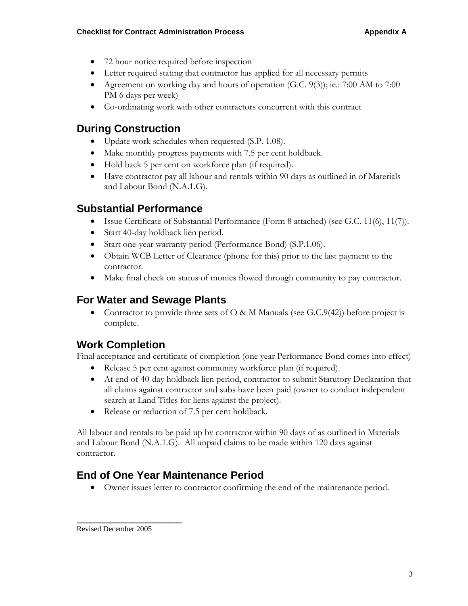- 72 hour notice required before inspection
- Letter required stating that contractor has applied for all necessary permits
- Agreement on working day and hours of operation (G.C. 9(3)); ie.: 7:00 AM to 7:00 PM 6 days per week)
- Co-ordinating work with other contractors concurrent with this contract

## **During Construction**

- Update work schedules when requested (S.P. 1.08).
- Make monthly progress payments with 7.5 per cent holdback.
- Hold back 5 per cent on workforce plan (if required).
- Have contractor pay all labour and rentals within 90 days as outlined in of Materials and Labour Bond (N.A.1.G).

#### **Substantial Performance**

- Issue Certificate of Substantial Performance (Form 8 attached) (see G.C. 11(6), 11(7)).
- Start 40-day holdback lien period.
- Start one-year warranty period (Performance Bond) (S.P.1.06).
- Obtain WCB Letter of Clearance (phone for this) prior to the last payment to the contractor.
- Make final check on status of monies flowed through community to pay contractor.

#### **For Water and Sewage Plants**

• Contractor to provide three sets of O & M Manuals (see G.C.9(42)) before project is complete.

## **Work Completion**

Final acceptance and certificate of completion (one year Performance Bond comes into effect)

- Release 5 per cent against community workforce plan (if required).
- At end of 40-day holdback lien period, contractor to submit Statutory Declaration that all claims against contractor and subs have been paid (owner to conduct independent search at Land Titles for liens against the project).
- Release or reduction of 7.5 per cent holdback.

All labour and rentals to be paid up by contractor within 90 days of as outlined in Materials and Labour Bond (N.A.1.G). All unpaid claims to be made within 120 days against contractor.

# **End of One Year Maintenance Period**

Owner issues letter to contractor confirming the end of the maintenance period.

**\_\_\_\_\_\_\_\_\_\_\_\_\_\_\_\_\_\_\_\_\_\_\_**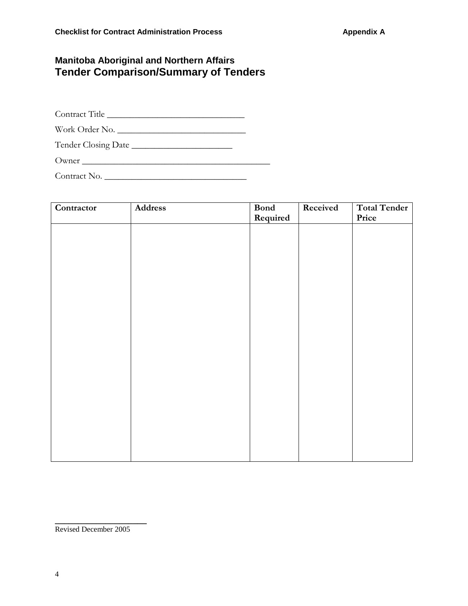#### **Manitoba Aboriginal and Northern Affairs Tender Comparison/Summary of Tenders**

Contract Title \_\_\_\_\_\_\_\_\_\_\_\_\_\_\_\_\_\_\_\_\_\_\_\_\_\_\_\_\_\_

Work Order No. \_\_\_\_\_\_\_\_\_\_\_\_\_\_\_\_\_\_\_\_\_\_\_\_\_\_\_\_

Tender Closing Date \_\_\_\_\_\_\_\_\_\_\_\_\_\_\_\_\_\_\_\_\_\_

Owner \_\_\_\_\_\_\_\_\_\_\_\_\_\_\_\_\_\_\_\_\_\_\_\_\_\_\_\_\_\_\_\_\_\_\_\_\_\_\_\_\_

Contract No. \_\_\_\_\_\_\_\_\_\_\_\_\_\_\_\_\_\_\_\_\_\_\_\_\_\_\_\_\_\_\_

| Contractor | Address | <b>Bond</b> | Received | Total Tender |
|------------|---------|-------------|----------|--------------|
|            |         | Required    |          | Price        |
|            |         |             |          |              |
|            |         |             |          |              |
|            |         |             |          |              |
|            |         |             |          |              |
|            |         |             |          |              |
|            |         |             |          |              |
|            |         |             |          |              |
|            |         |             |          |              |
|            |         |             |          |              |
|            |         |             |          |              |
|            |         |             |          |              |
|            |         |             |          |              |
|            |         |             |          |              |
|            |         |             |          |              |
|            |         |             |          |              |
|            |         |             |          |              |
|            |         |             |          |              |
|            |         |             |          |              |
|            |         |             |          |              |
|            |         |             |          |              |
|            |         |             |          |              |
|            |         |             |          |              |
|            |         |             |          |              |

Revised December 2005

**\_\_\_\_\_\_\_\_\_\_\_\_\_\_\_\_\_\_\_\_**